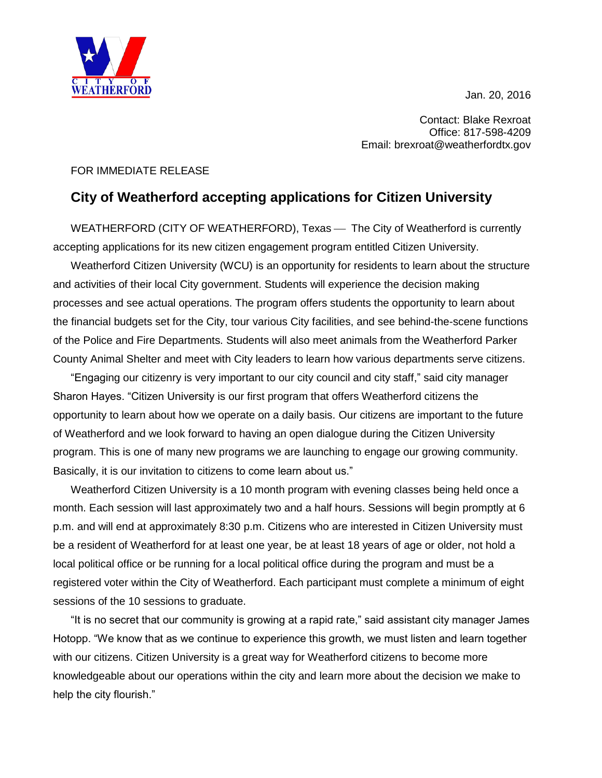Jan. 20, 2016



Contact: Blake Rexroat Office: 817-598-4209 Email: brexroat@weatherfordtx.gov

## FOR IMMEDIATE RELEASE

## **City of Weatherford accepting applications for Citizen University**

WEATHERFORD (CITY OF WEATHERFORD), Texas — The City of Weatherford is currently accepting applications for its new citizen engagement program entitled Citizen University.

Weatherford Citizen University (WCU) is an opportunity for residents to learn about the structure and activities of their local City government. Students will experience the decision making processes and see actual operations. The program offers students the opportunity to learn about the financial budgets set for the City, tour various City facilities, and see behind-the-scene functions of the Police and Fire Departments. Students will also meet animals from the Weatherford Parker County Animal Shelter and meet with City leaders to learn how various departments serve citizens.

"Engaging our citizenry is very important to our city council and city staff," said city manager Sharon Hayes. "Citizen University is our first program that offers Weatherford citizens the opportunity to learn about how we operate on a daily basis. Our citizens are important to the future of Weatherford and we look forward to having an open dialogue during the Citizen University program. This is one of many new programs we are launching to engage our growing community. Basically, it is our invitation to citizens to come learn about us."

Weatherford Citizen University is a 10 month program with evening classes being held once a month. Each session will last approximately two and a half hours. Sessions will begin promptly at 6 p.m. and will end at approximately 8:30 p.m. Citizens who are interested in Citizen University must be a resident of Weatherford for at least one year, be at least 18 years of age or older, not hold a local political office or be running for a local political office during the program and must be a registered voter within the City of Weatherford. Each participant must complete a minimum of eight sessions of the 10 sessions to graduate.

"It is no secret that our community is growing at a rapid rate," said assistant city manager James Hotopp. "We know that as we continue to experience this growth, we must listen and learn together with our citizens. Citizen University is a great way for Weatherford citizens to become more knowledgeable about our operations within the city and learn more about the decision we make to help the city flourish."